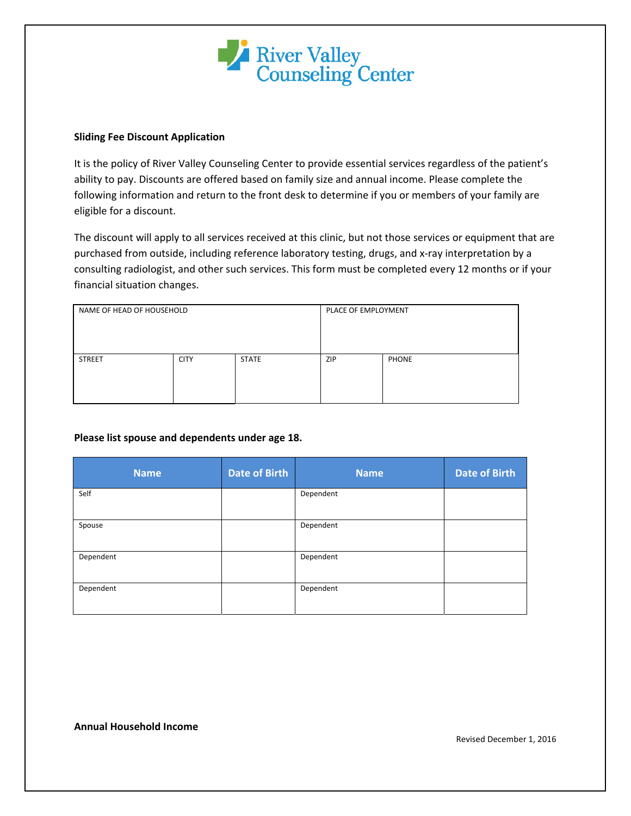

## **Sliding Fee Discount Application**

It is the policy of River Valley Counseling Center to provide essential services regardless of the patient's ability to pay. Discounts are offered based on family size and annual income. Please complete the following information and return to the front desk to determine if you or members of your family are eligible for a discount.

The discount will apply to all services received at this clinic, but not those services or equipment that are purchased from outside, including reference laboratory testing, drugs, and x-ray interpretation by a consulting radiologist, and other such services. This form must be completed every 12 months or if your financial situation changes.

| NAME OF HEAD OF HOUSEHOLD |             | PLACE OF EMPLOYMENT |     |              |
|---------------------------|-------------|---------------------|-----|--------------|
| <b>STREET</b>             | <b>CITY</b> | <b>STATE</b>        | ZIP | <b>PHONE</b> |

## **Please list spouse and dependents under age 18.**

| <b>Name</b> | <b>Date of Birth</b> | <b>Name</b> | Date of Birth |
|-------------|----------------------|-------------|---------------|
| Self        |                      | Dependent   |               |
| Spouse      |                      | Dependent   |               |
| Dependent   |                      | Dependent   |               |
| Dependent   |                      | Dependent   |               |